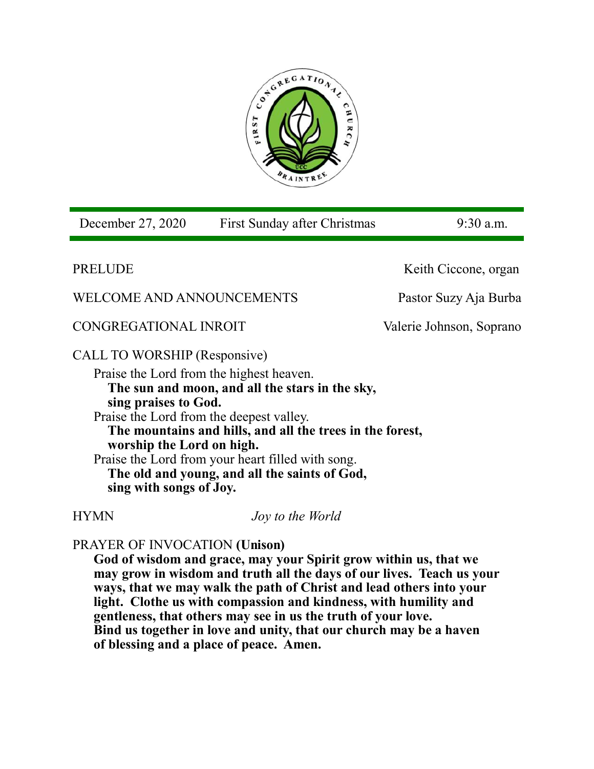

PRELUDEKeith Ciccone, organ WELCOME AND ANNOUNCEMENTS Pastor Suzy Aja Burba CONGREGATIONAL INROIT Valerie Johnson, Soprano CALL TO WORSHIP (Responsive) Praise the Lord from the highest heaven. **The sun and moon, and all the stars in the sky, sing praises to God.** Praise the Lord from the deepest valley. **The mountains and hills, and all the trees in the forest, worship the Lord on high.** Praise the Lord from your heart filled with song. **The old and young, and all the saints of God, sing with songs of Joy.** HYMN *Joy to the World*  PRAYER OF INVOCATION **(Unison) God of wisdom and grace, may your Spirit grow within us, that we**  December 27, 2020 First Sunday after Christmas 9:30 a.m.

**may grow in wisdom and truth all the days of our lives. Teach us your ways, that we may walk the path of Christ and lead others into your light. Clothe us with compassion and kindness, with humility and gentleness, that others may see in us the truth of your love. Bind us together in love and unity, that our church may be a haven of blessing and a place of peace. Amen.**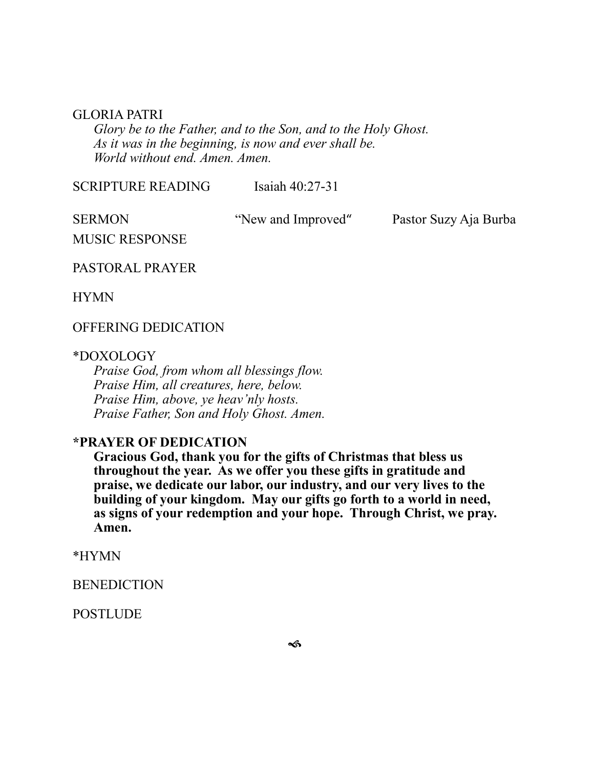#### GLORIA PATRI

*Glory be to the Father, and to the Son, and to the Holy Ghost. As it was in the beginning, is now and ever shall be. World without end. Amen. Amen.* 

SCRIPTURE READING Isaiah 40:27-31

SERMON "New and Improved" Pastor Suzy Aja Burba

MUSIC RESPONSE

PASTORAL PRAYER

HYMN

## OFFERING DEDICATION

#### \*DOXOLOGY

*Praise God, from whom all blessings flow. Praise Him, all creatures, here, below. Praise Him, above, ye heav'nly hosts. Praise Father, Son and Holy Ghost. Amen.*

# **\*PRAYER OF DEDICATION**

**Gracious God, thank you for the gifts of Christmas that bless us throughout the year. As we offer you these gifts in gratitude and praise, we dedicate our labor, our industry, and our very lives to the building of your kingdom. May our gifts go forth to a world in need, as signs of your redemption and your hope. Through Christ, we pray. Amen.**

\*HYMN

**BENEDICTION** 

POSTLUDE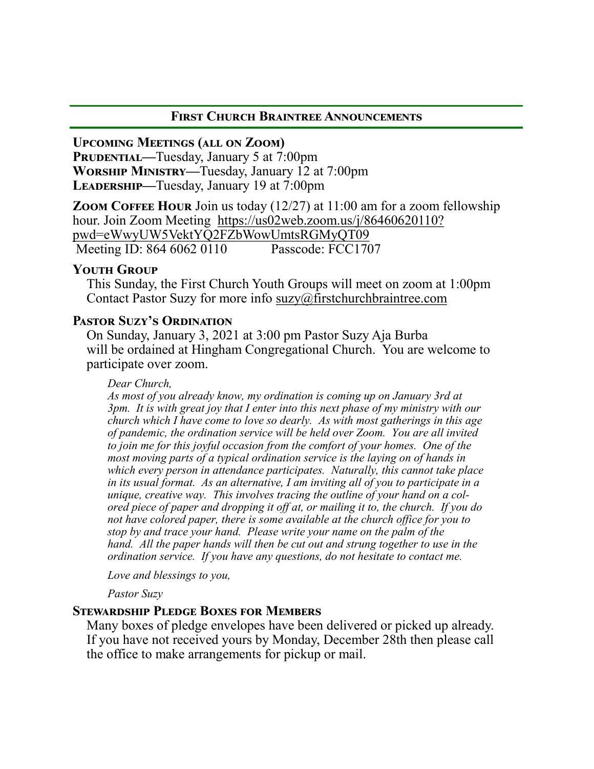### **First Church Braintree Announcements**

**Upcoming Meetings (all on Zoom)**

**PRUDENTIAL—Tuesday, January 5 at 7:00pm Worship Ministry—**Tuesday, January 12 at 7:00pm **Leadership—**Tuesday, January 19 at 7:00pm

**ZOOM COFFEE HOUR** Join us today (12/27) at 11:00 am for a zoom fellowship hour. Join Zoom Meeting [https://us02web.zoom.us/j/86460620110?](https://us02web.zoom.us/j/86460620110?pwd=eWwyUW5VektYQ2FZbWowUmtsRGMyQT09) [pwd=eWwyUW5VektYQ2FZbWowUmtsRGMyQT09](https://us02web.zoom.us/j/86460620110?pwd=eWwyUW5VektYQ2FZbWowUmtsRGMyQT09)<br>Meeting ID: 864 6062 0110 Passcode: FCC1707 Meeting ID: 864 6062 0110

## **Youth Group**

This Sunday, the First Church Youth Groups will meet on zoom at 1:00pm Contact Pastor Suzy for more info [suzy@firstchurchbraintree.com](mailto:suzy@firstchurchbraintree.com)

## **Pastor Suzy's Ordination**

On Sunday, January 3, 2021 at 3:00 pm Pastor Suzy Aja Burba will be ordained at Hingham Congregational Church. You are welcome to participate over zoom.

#### *Dear Church,*

*As most of you already know, my ordination is coming up on January 3rd at 3pm. It is with great joy that I enter into this next phase of my ministry with our church which I have come to love so dearly. As with most gatherings in this age of pandemic, the ordination service will be held over Zoom. You are all invited to join me for this joyful occasion from the comfort of your homes. One of the most moving parts of a typical ordination service is the laying on of hands in which every person in attendance participates. Naturally, this cannot take place in its usual format. As an alternative, I am inviting all of you to participate in a unique, creative way. This involves tracing the outline of your hand on a colored piece of paper and dropping it off at, or mailing it to, the church. If you do not have colored paper, there is some available at the church office for you to stop by and trace your hand. Please write your name on the palm of the hand. All the paper hands will then be cut out and strung together to use in the ordination service. If you have any questions, do not hesitate to contact me.*

*Love and blessings to you,*

*Pastor Suzy*

## **Stewardship Pledge Boxes for Members**

Many boxes of pledge envelopes have been delivered or picked up already. If you have not received yours by Monday, December 28th then please call the office to make arrangements for pickup or mail.